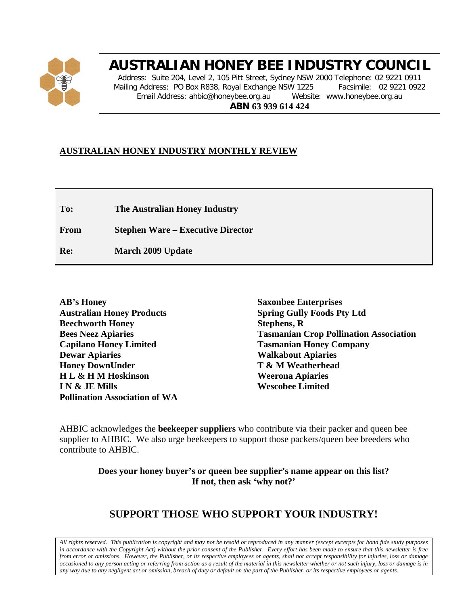

# **AUSTRALIAN HONEY BEE INDUSTRY COUNCIL**

Address: Suite 204, Level 2, 105 Pitt Street, Sydney NSW 2000 Telephone: 02 9221 0911 Mailing Address: PO Box R838, Royal Exchange NSW 1225 Facsimile: 02 9221 0922 Email Address: ahbic@honeybee.org.au Website: www.honeybee.org.au **ABN 63 939 614 424**

## **AUSTRALIAN HONEY INDUSTRY MONTHLY REVIEW**

**To: The Australian Honey Industry**

**From Stephen Ware – Executive Director**

**Re: March 2009 Update**

**Saxonbee Enterprises Spring Gully Foods Pty Ltd Stephens, R Tasmanian Crop Pollination Association Tasmanian Honey Company Walkabout Apiaries T & M Weatherhead Weerona Apiaries Wescobee Limited**

AHBIC acknowledges the **beekeeper suppliers** who contribute via their packer and queen bee supplier to AHBIC. We also urge beekeepers to support those packers/queen bee breeders who contribute to AHBIC.

> **Does your honey buyer's or queen bee supplier's name appear on this list? If not, then ask 'why not?'**

## **SUPPORT THOSE WHO SUPPORT YOUR INDUSTRY!**

*All rights reserved. This publication is copyright and may not be resold or reproduced in any manner (except excerpts for bona fide study purposes in accordance with the Copyright Act) without the prior consent of the Publisher. Every effort has been made to ensure that this newsletter is free from error or omissions. However, the Publisher, or its respective employees or agents, shall not accept responsibility for injuries, loss or damage occasioned to any person acting or referring from action as a result of the material in this newsletter whether or not such injury, loss or damage is in any way due to any negligent act or omission, breach of duty or default on the part of the Publisher, or its respective employees or agents.*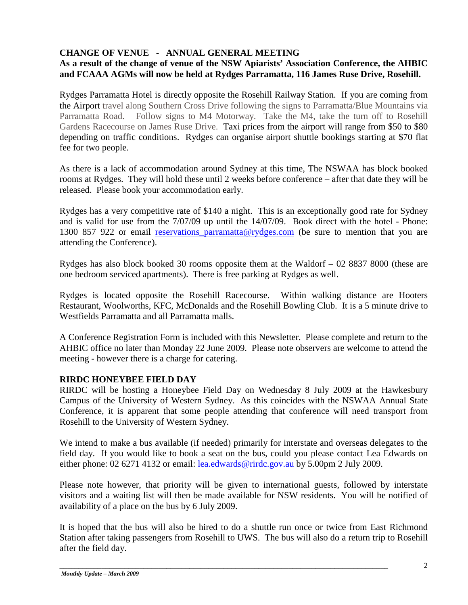## **CHANGE OF VENUE - ANNUAL GENERAL MEETING**

## **As a result of the change of venue of the NSW Apiarists' Association Conference, the AHBIC and FCAAA AGMs will now be held at Rydges Parramatta, 116 James Ruse Drive, Rosehill.**

Rydges Parramatta Hotel is directly opposite the Rosehill Railway Station. If you are coming from the Airport travel along Southern Cross Drive following the signs to Parramatta/Blue Mountains via Parramatta Road. Follow signs to M4 Motorway. Take the M4, take the turn off to Rosehill Gardens Racecourse on James Ruse Drive. Taxi prices from the airport will range from \$50 to \$80 depending on traffic conditions. Rydges can organise airport shuttle bookings starting at \$70 flat fee for two people.

As there is a lack of accommodation around Sydney at this time, The NSWAA has block booked rooms at Rydges. They will hold these until 2 weeks before conference – after that date they will be released. Please book your accommodation early.

Rydges has a very competitive rate of \$140 a night. This is an exceptionally good rate for Sydney and is valid for use from the 7/07/09 up until the 14/07/09. Book direct with the hotel - Phone: 1300 857 922 or email reservations parramatta@rydges.com (be sure to mention that you are attending the Conference).

Rydges has also block booked 30 rooms opposite them at the Waldorf – 02 8837 8000 (these are one bedroom serviced apartments). There is free parking at Rydges as well.

Rydges is located opposite the Rosehill Racecourse. Within walking distance are Hooters Restaurant, Woolworths, KFC, McDonalds and the Rosehill Bowling Club. It is a 5 minute drive to Westfields Parramatta and all Parramatta malls.

A Conference Registration Form is included with this Newsletter. Please complete and return to the AHBIC office no later than Monday 22 June 2009. Please note observers are welcome to attend the meeting - however there is a charge for catering.

## **RIRDC HONEYBEE FIELD DAY**

RIRDC will be hosting a Honeybee Field Day on Wednesday 8 July 2009 at the Hawkesbury Campus of the University of Western Sydney. As this coincides with the NSWAA Annual State Conference, it is apparent that some people attending that conference will need transport from Rosehill to the University of Western Sydney.

We intend to make a bus available (if needed) primarily for interstate and overseas delegates to the field day. If you would like to book a seat on the bus, could you please contact Lea Edwards on either phone: 02 6271 4132 or email: <u>lea.edwards@rirdc.gov.au</u> by 5.00pm 2 July 2009.

Please note however, that priority will be given to international guests, followed by interstate visitors and a waiting list will then be made available for NSW residents. You will be notified of availability of a place on the bus by 6 July 2009.

It is hoped that the bus will also be hired to do a shuttle run once or twice from East Richmond Station after taking passengers from Rosehill to UWS. The bus will also do a return trip to Rosehill after the field day.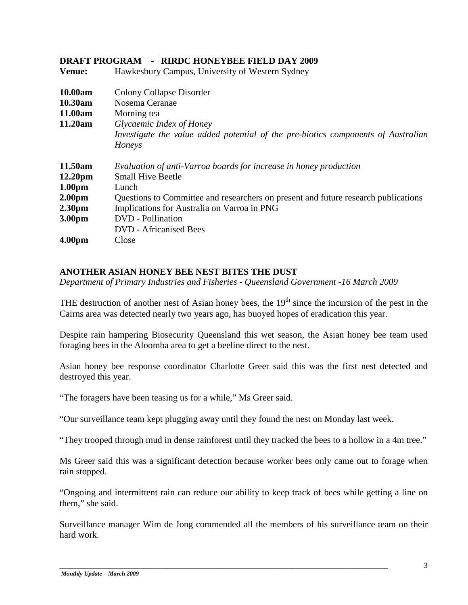## **Venue:** Hawkesbury Campus, University of Western Sydney **10.00am** Colony Collapse Disorder **10.30am** Nosema Ceranae **11.00am** Morning tea **11.20am** *Glycaemic Index of Honey Investigate the value added potential of the pre-biotics components of Australian Honeys* **11.50am** *Evaluation of anti-Varroa boards for increase in honey production* **12.20pm** Small Hive Beetle **1.00pm** Lunch **2.00pm** Questions to Committee and researchers on present and future research publications **2.30pm** Implications for Australia on Varroa in PNG **3.00pm** DVD - Pollination DVD - Africanised Bees **4.00pm** Close

## **DRAFT PROGRAM - RIRDC HONEYBEE FIELD DAY 2009**

**ANOTHER ASIAN HONEY BEE NEST BITES THE DUST**

*Department of Primary Industries and Fisheries - Queensland Government -16 March 2009* 

THE destruction of another nest of Asian honey bees, the  $19<sup>th</sup>$  since the incursion of the pest in the Cairns area was detected nearly two years ago, has buoyed hopes of eradication this year.

Despite rain hampering Biosecurity Queensland this wet season, the Asian honey bee team used foraging bees in the Aloomba area to get a beeline direct to the nest.

Asian honey bee response coordinator Charlotte Greer said this was the first nest detected and destroyed this year.

"The foragers have been teasing us for a while," Ms Greer said.

"Our surveillance team kept plugging away until they found the nest on Monday last week.

"They trooped through mud in dense rainforest until they tracked the bees to a hollow in a 4m tree."

Ms Greer said this was a significant detection because worker bees only came out to forage when rain stopped.

"Ongoing and intermittent rain can reduce our ability to keep track of bees while getting a line on them," she said.

Surveillance manager Wim de Jong commended all the members of his surveillance team on their hard work.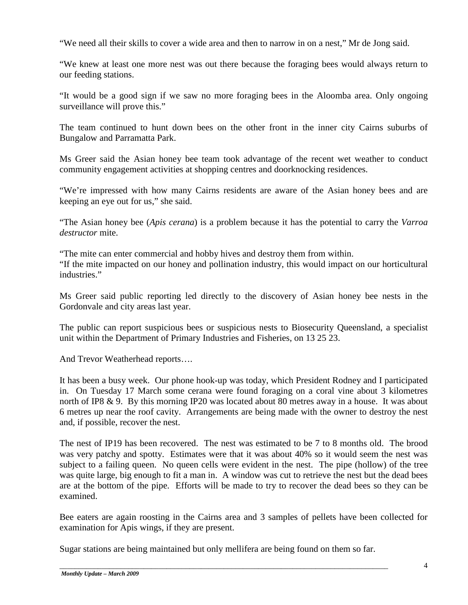"We need all their skills to cover a wide area and then to narrow in on a nest," Mr de Jong said.

"We knew at least one more nest was out there because the foraging bees would always return to our feeding stations.

"It would be a good sign if we saw no more foraging bees in the Aloomba area. Only ongoing surveillance will prove this."

The team continued to hunt down bees on the other front in the inner city Cairns suburbs of Bungalow and Parramatta Park.

Ms Greer said the Asian honey bee team took advantage of the recent wet weather to conduct community engagement activities at shopping centres and doorknocking residences.

"We're impressed with how many Cairns residents are aware of the Asian honey bees and are keeping an eye out for us," she said.

"The Asian honey bee (*Apis cerana*) is a problem because it has the potential to carry the *Varroa destructor* mite.

"The mite can enter commercial and hobby hives and destroy them from within. "If the mite impacted on our honey and pollination industry, this would impact on our horticultural industries."

Ms Greer said public reporting led directly to the discovery of Asian honey bee nests in the Gordonvale and city areas last year.

The public can report suspicious bees or suspicious nests to Biosecurity Queensland, a specialist unit within the Department of Primary Industries and Fisheries, on 13 25 23.

And Trevor Weatherhead reports….

It has been a busy week. Our phone hook-up was today, which President Rodney and I participated in. On Tuesday 17 March some cerana were found foraging on a coral vine about 3 kilometres north of IP8 & 9. By this morning IP20 was located about 80 metres away in a house. It was about 6 metres up near the roof cavity. Arrangements are being made with the owner to destroy the nest and, if possible, recover the nest.

The nest of IP19 has been recovered. The nest was estimated to be 7 to 8 months old. The brood was very patchy and spotty. Estimates were that it was about 40% so it would seem the nest was subject to a failing queen. No queen cells were evident in the nest. The pipe (hollow) of the tree was quite large, big enough to fit a man in. A window was cut to retrieve the nest but the dead bees are at the bottom of the pipe. Efforts will be made to try to recover the dead bees so they can be examined.

Bee eaters are again roosting in the Cairns area and 3 samples of pellets have been collected for examination for Apis wings, if they are present.

Sugar stations are being maintained but only mellifera are being found on them so far.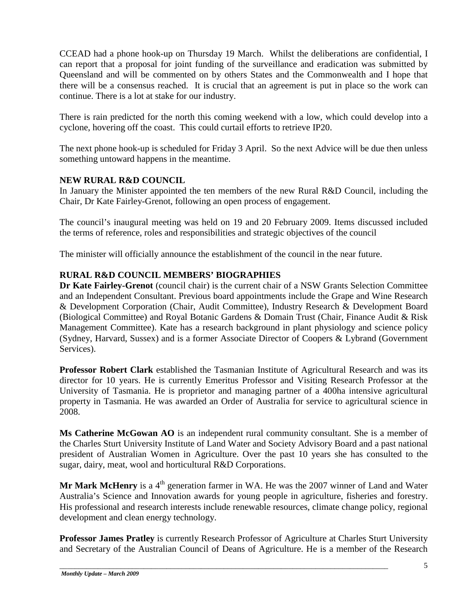CCEAD had a phone hook-up on Thursday 19 March. Whilst the deliberations are confidential, I can report that a proposal for joint funding of the surveillance and eradication was submitted by Queensland and will be commented on by others States and the Commonwealth and I hope that there will be a consensus reached. It is crucial that an agreement is put in place so the work can continue. There is a lot at stake for our industry.

There is rain predicted for the north this coming weekend with a low, which could develop into a cyclone, hovering off the coast. This could curtail efforts to retrieve IP20.

The next phone hook-up is scheduled for Friday 3 April. So the next Advice will be due then unless something untoward happens in the meantime.

## **NEW RURAL R&D COUNCIL**

In January the Minister appointed the ten members of the new Rural R&D Council, including the Chair, Dr Kate Fairley-Grenot, following an open process of engagement.

The council's inaugural meeting was held on 19 and 20 February 2009. Items discussed included the terms of reference, roles and responsibilities and strategic objectives of the council

The minister will officially announce the establishment of the council in the near future.

## **RURAL R&D COUNCIL MEMBERS' BIOGRAPHIES**

**Dr Kate Fairley-Grenot** (council chair) is the current chair of a NSW Grants Selection Committee and an Independent Consultant. Previous board appointments include the Grape and Wine Research & Development Corporation (Chair, Audit Committee), Industry Research & Development Board (Biological Committee) and Royal Botanic Gardens & Domain Trust (Chair, Finance Audit & Risk Management Committee). Kate has a research background in plant physiology and science policy (Sydney, Harvard, Sussex) and is a former Associate Director of Coopers & Lybrand (Government Services).

**Professor Robert Clark** established the Tasmanian Institute of Agricultural Research and was its director for 10 years. He is currently Emeritus Professor and Visiting Research Professor at the University of Tasmania. He is proprietor and managing partner of a 400ha intensive agricultural property in Tasmania. He was awarded an Order of Australia for service to agricultural science in 2008.

**Ms Catherine McGowan AO** is an independent rural community consultant. She is a member of the Charles Sturt University Institute of Land Water and Society Advisory Board and a past national president of Australian Women in Agriculture. Over the past 10 years she has consulted to the sugar, dairy, meat, wool and horticultural R&D Corporations.

Mr Mark McHenry is a 4<sup>th</sup> generation farmer in WA. He was the 2007 winner of Land and Water Australia's Science and Innovation awards for young people in agriculture, fisheries and forestry. His professional and research interests include renewable resources, climate change policy, regional development and clean energy technology.

**Professor James Pratley** is currently Research Professor of Agriculture at Charles Sturt University and Secretary of the Australian Council of Deans of Agriculture. He is a member of the Research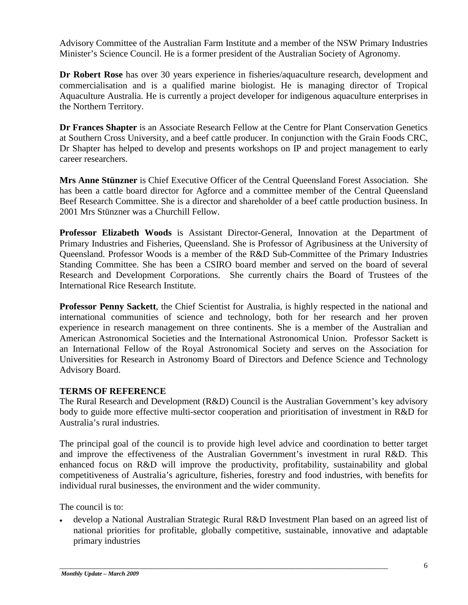Advisory Committee of the Australian Farm Institute and a member of the NSW Primary Industries Minister's Science Council. He is a former president of the Australian Society of Agronomy.

**Dr Robert Rose** has over 30 years experience in fisheries/aquaculture research, development and commercialisation and is a qualified marine biologist. He is managing director of Tropical Aquaculture Australia. He is currently a project developer for indigenous aquaculture enterprises in the Northern Territory.

**Dr Frances Shapter** is an Associate Research Fellow at the Centre for Plant Conservation Genetics at Southern Cross University, and a beef cattle producer. In conjunction with the Grain Foods CRC, Dr Shapter has helped to develop and presents workshops on IP and project management to early career researchers.

**Mrs Anne Stünzner** is Chief Executive Officer of the Central Queensland Forest Association. She has been a cattle board director for Agforce and a committee member of the Central Queensland Beef Research Committee. She is a director and shareholder of a beef cattle production business. In 2001 Mrs Stünzner was a Churchill Fellow.

**Professor Elizabeth Woods** is Assistant Director-General, Innovation at the Department of Primary Industries and Fisheries, Queensland. She is Professor of Agribusiness at the University of Queensland. Professor Woods is a member of the R&D Sub-Committee of the Primary Industries Standing Committee. She has been a CSIRO board member and served on the board of several Research and Development Corporations. She currently chairs the Board of Trustees of the International Rice Research Institute.

**Professor Penny Sackett**, the Chief Scientist for Australia, is highly respected in the national and international communities of science and technology, both for her research and her proven experience in research management on three continents. She is a member of the Australian and American Astronomical Societies and the International Astronomical Union. Professor Sackett is an International Fellow of the Royal Astronomical Society and serves on the Association for Universities for Research in Astronomy Board of Directors and Defence Science and Technology Advisory Board.

## **TERMS OF REFERENCE**

The Rural Research and Development (R&D) Council is the Australian Government's key advisory body to guide more effective multi-sector cooperation and prioritisation of investment in R&D for Australia's rural industries.

The principal goal of the council is to provide high level advice and coordination to better target and improve the effectiveness of the Australian Government's investment in rural R&D. This enhanced focus on R&D will improve the productivity, profitability, sustainability and global competitiveness of Australia's agriculture, fisheries, forestry and food industries, with benefits for individual rural businesses, the environment and the wider community.

The council is to:

• develop a National Australian Strategic Rural R&D Investment Plan based on an agreed list of national priorities for profitable, globally competitive, sustainable, innovative and adaptable primary industries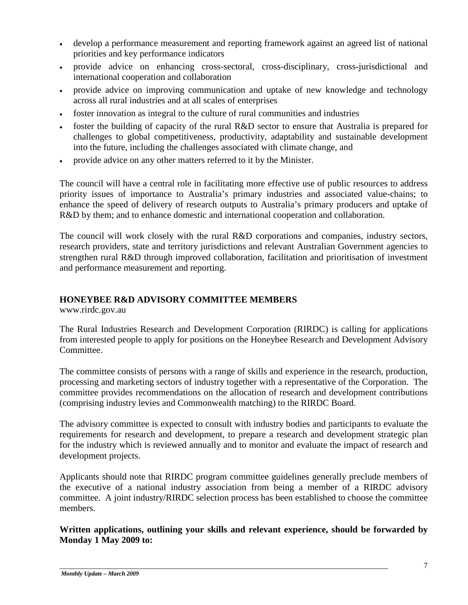- develop a performance measurement and reporting framework against an agreed list of national priorities and key performance indicators
- provide advice on enhancing cross-sectoral, cross-disciplinary, cross-jurisdictional and international cooperation and collaboration
- provide advice on improving communication and uptake of new knowledge and technology across all rural industries and at all scales of enterprises
- foster innovation as integral to the culture of rural communities and industries
- foster the building of capacity of the rural R&D sector to ensure that Australia is prepared for challenges to global competitiveness, productivity, adaptability and sustainable development into the future, including the challenges associated with climate change, and
- provide advice on any other matters referred to it by the Minister.

The council will have a central role in facilitating more effective use of public resources to address priority issues of importance to Australia's primary industries and associated value-chains; to enhance the speed of delivery of research outputs to Australia's primary producers and uptake of R&D by them; and to enhance domestic and international cooperation and collaboration.

The council will work closely with the rural R&D corporations and companies, industry sectors, research providers, state and territory jurisdictions and relevant Australian Government agencies to strengthen rural R&D through improved collaboration, facilitation and prioritisation of investment and performance measurement and reporting.

## **HONEYBEE R&D ADVISORY COMMITTEE MEMBERS**

www.rirdc.gov.au

The Rural Industries Research and Development Corporation (RIRDC) is calling for applications from interested people to apply for positions on the Honeybee Research and Development Advisory Committee.

The committee consists of persons with a range of skills and experience in the research, production, processing and marketing sectors of industry together with a representative of the Corporation. The committee provides recommendations on the allocation of research and development contributions (comprising industry levies and Commonwealth matching) to the RIRDC Board.

The advisory committee is expected to consult with industry bodies and participants to evaluate the requirements for research and development, to prepare a research and development strategic plan for the industry which is reviewed annually and to monitor and evaluate the impact of research and development projects.

Applicants should note that RIRDC program committee guidelines generally preclude members of the executive of a national industry association from being a member of a RIRDC advisory committee. A joint industry/RIRDC selection process has been established to choose the committee members.

**Written applications, outlining your skills and relevant experience, should be forwarded by Monday 1 May 2009 to:**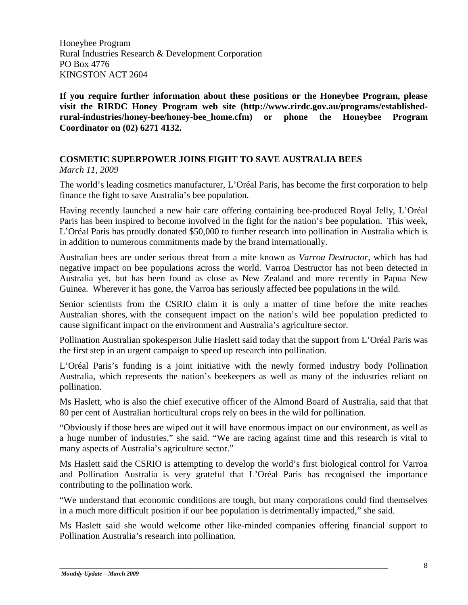Honeybee Program Rural Industries Research & Development Corporation PO Box 4776 KINGSTON ACT 2604

**If you require further information about these positions or the Honeybee Program, please visit the RIRDC Honey Program web site [\(http://www.rirdc.gov.au/programs/established](http://www.rirdc.gov.au/programs/established-rural-industries/honey-bee/honey-bee_home.cfm)[rural-industries/honey-bee/honey-bee\\_home.cfm\)](http://www.rirdc.gov.au/programs/established-rural-industries/honey-bee/honey-bee_home.cfm) or phone the Honeybee Program Coordinator on (02) 6271 4132.**

## **COSMETIC SUPERPOWER JOINS FIGHT TO SAVE AUSTRALIA BEES**

*March 11, 2009*

The world's leading cosmetics manufacturer, L'Oréal Paris, has become the first corporation to help finance the fight to save Australia's bee population.

Having recently launched a new hair care offering containing bee-produced Royal Jelly, L'Oréal Paris has been inspired to become involved in the fight for the nation's bee population. This week, L'Oréal Paris has proudly donated \$50,000 to further research into pollination in Australia which is in addition to numerous commitments made by the brand internationally.

Australian bees are under serious threat from a mite known as *Varroa Destructor*, which has had negative impact on bee populations across the world. Varroa Destructor has not been detected in Australia yet, but has been found as close as New Zealand and more recently in Papua New Guinea. Wherever it has gone, the Varroa has seriously affected bee populations in the wild.

Senior scientists from the CSRIO claim it is only a matter of time before the mite reaches Australian shores, with the consequent impact on the nation's wild bee population predicted to cause significant impact on the environment and Australia's agriculture sector.

Pollination Australian spokesperson Julie Haslett said today that the support from L'Oréal Paris was the first step in an urgent campaign to speed up research into pollination.

L'Oréal Paris's funding is a joint initiative with the newly formed industry body Pollination Australia, which represents the nation's beekeepers as well as many of the industries reliant on pollination.

Ms Haslett, who is also the chief executive officer of the Almond Board of Australia, said that that 80 per cent of Australian horticultural crops rely on bees in the wild for pollination.

"Obviously if those bees are wiped out it will have enormous impact on our environment, as well as a huge number of industries," she said. "We are racing against time and this research is vital to many aspects of Australia's agriculture sector."

Ms Haslett said the CSRIO is attempting to develop the world's first biological control for Varroa and Pollination Australia is very grateful that L'Oréal Paris has recognised the importance contributing to the pollination work.

"We understand that economic conditions are tough, but many corporations could find themselves in a much more difficult position if our bee population is detrimentally impacted," she said.

Ms Haslett said she would welcome other like-minded companies offering financial support to Pollination Australia's research into pollination.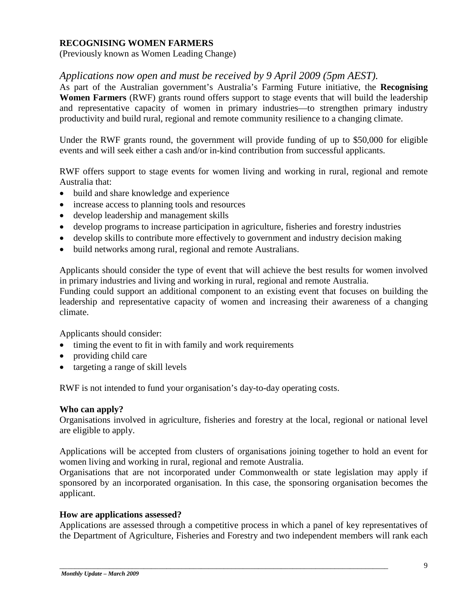#### **RECOGNISING WOMEN FARMERS**

(Previously known as Women Leading Change)

## *Applications now open and must be received by 9 April 2009 (5pm AEST).*

As part of the Australian government's Australia's Farming Future initiative, the **Recognising Women Farmers** (RWF) grants round offers support to stage events that will build the leadership and representative capacity of women in primary industries—to strengthen primary industry productivity and build rural, regional and remote community resilience to a changing climate.

Under the RWF grants round, the government will provide funding of up to \$50,000 for eligible events and will seek either a cash and/or in-kind contribution from successful applicants.

RWF offers support to stage events for women living and working in rural, regional and remote Australia that:

- build and share knowledge and experience
- increase access to planning tools and resources
- develop leadership and management skills
- develop programs to increase participation in agriculture, fisheries and forestry industries
- develop skills to contribute more effectively to government and industry decision making
- build networks among rural, regional and remote Australians.

Applicants should consider the type of event that will achieve the best results for women involved in primary industries and living and working in rural, regional and remote Australia.

Funding could support an additional component to an existing event that focuses on building the leadership and representative capacity of women and increasing their awareness of a changing climate.

Applicants should consider:

- timing the event to fit in with family and work requirements
- providing child care
- targeting a range of skill levels

RWF is not intended to fund your organisation's day-to-day operating costs.

#### **Who can apply?**

Organisations involved in agriculture, fisheries and forestry at the local, regional or national level are eligible to apply.

Applications will be accepted from clusters of organisations joining together to hold an event for women living and working in rural, regional and remote Australia.

Organisations that are not incorporated under Commonwealth or state legislation may apply if sponsored by an incorporated organisation. In this case, the sponsoring organisation becomes the applicant.

#### **How are applications assessed?**

Applications are assessed through a competitive process in which a panel of key representatives of the Department of Agriculture, Fisheries and Forestry and two independent members will rank each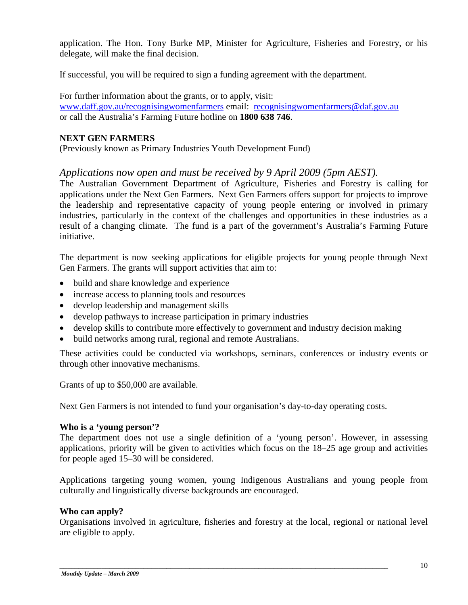application. The Hon. Tony Burke MP, Minister for Agriculture, Fisheries and Forestry, or his delegate, will make the final decision.

If successful, you will be required to sign a funding agreement with the department.

For further information about the grants, or to apply, visit: [www.daff.gov.au/recognisingwomenfarmers](http://www.daff.gov.au/recognisingwomenfarmers) email: [recognisingwomenfarmers@daf.gov.au](mailto:recognisingwomenfarmers@daf.gov.au) or call the Australia's Farming Future hotline on **1800 638 746**.

#### **NEXT GEN FARMERS**

(Previously known as Primary Industries Youth Development Fund)

## *Applications now open and must be received by 9 April 2009 (5pm AEST).*

The Australian Government Department of Agriculture, Fisheries and Forestry is calling for applications under the Next Gen Farmers. Next Gen Farmers offers support for projects to improve the leadership and representative capacity of young people entering or involved in primary industries, particularly in the context of the challenges and opportunities in these industries as a result of a changing climate. The fund is a part of the government's Australia's Farming Future initiative.

The department is now seeking applications for eligible projects for young people through Next Gen Farmers. The grants will support activities that aim to:

- build and share knowledge and experience
- increase access to planning tools and resources
- develop leadership and management skills
- develop pathways to increase participation in primary industries
- develop skills to contribute more effectively to government and industry decision making
- build networks among rural, regional and remote Australians.

These activities could be conducted via workshops, seminars, conferences or industry events or through other innovative mechanisms.

Grants of up to \$50,000 are available.

Next Gen Farmers is not intended to fund your organisation's day-to-day operating costs.

#### **Who is a 'young person'?**

The department does not use a single definition of a 'young person'. However, in assessing applications, priority will be given to activities which focus on the 18–25 age group and activities for people aged 15–30 will be considered.

Applications targeting young women, young Indigenous Australians and young people from culturally and linguistically diverse backgrounds are encouraged.

#### **Who can apply?**

Organisations involved in agriculture, fisheries and forestry at the local, regional or national level are eligible to apply.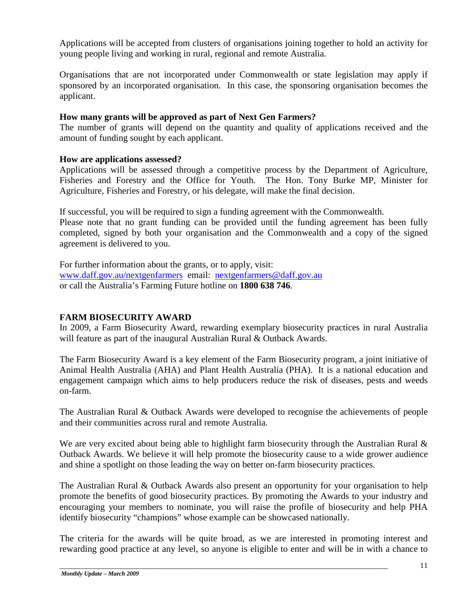Applications will be accepted from clusters of organisations joining together to hold an activity for young people living and working in rural, regional and remote Australia.

Organisations that are not incorporated under Commonwealth or state legislation may apply if sponsored by an incorporated organisation. In this case, the sponsoring organisation becomes the applicant.

## **How many grants will be approved as part of Next Gen Farmers?**

The number of grants will depend on the quantity and quality of applications received and the amount of funding sought by each applicant.

## **How are applications assessed?**

Applications will be assessed through a competitive process by the Department of Agriculture, Fisheries and Forestry and the [Office for Youth.](http://www.deewr.gov.au/Youth/OfficeForYouth/Pages/default.aspx) The Hon. Tony Burke MP, Minister for Agriculture, Fisheries and Forestry, or his delegate, will make the final decision.

If successful, you will be required to sign a funding agreement with the Commonwealth.

Please note that no grant funding can be provided until the funding agreement has been fully completed, signed by both your organisation and the Commonwealth and a copy of the signed agreement is delivered to you.

For further information about the grants, or to apply, visit: [www.daff.gov.au/nextgenfarmers](http://www.daff.gov.au/nextgenfarmers) email: [nextgenfarmers@daff.gov.au](mailto:nextgenfarmers@daff.gov.au) or call the Australia's Farming Future hotline on **1800 638 746**.

## **FARM BIOSECURITY AWARD**

In 2009, a Farm Biosecurity Award, rewarding exemplary biosecurity practices in rural Australia will feature as part of the inaugural Australian Rural & Outback Awards.

The Farm Biosecurity Award is a key element of the Farm Biosecurity program, a joint initiative of Animal Health Australia (AHA) and Plant Health Australia (PHA). It is a national education and engagement campaign which aims to help producers reduce the risk of diseases, pests and weeds on-farm.

The Australian Rural & Outback Awards were developed to recognise the achievements of people and their communities across rural and remote Australia.

We are very excited about being able to highlight farm biosecurity through the Australian Rural & Outback Awards. We believe it will help promote the biosecurity cause to a wide grower audience and shine a spotlight on those leading the way on better on-farm biosecurity practices.

The Australian Rural & Outback Awards also present an opportunity for your organisation to help promote the benefits of good biosecurity practices. By promoting the Awards to your industry and encouraging your members to nominate, you will raise the profile of biosecurity and help PHA identify biosecurity "champions" whose example can be showcased nationally.

The criteria for the awards will be quite broad, as we are interested in promoting interest and rewarding good practice at any level, so anyone is eligible to enter and will be in with a chance to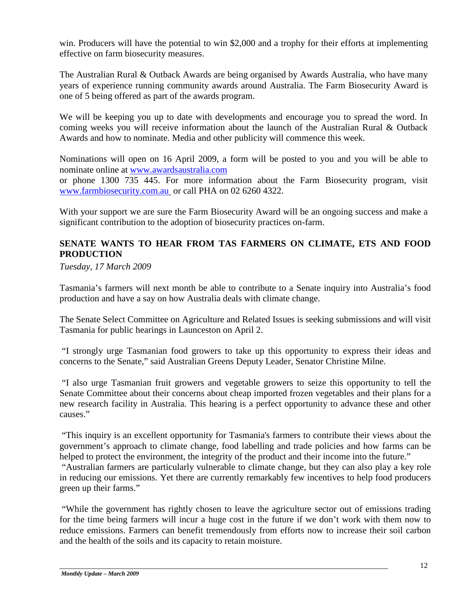win. Producers will have the potential to win \$2,000 and a trophy for their efforts at implementing effective on farm biosecurity measures.

The Australian Rural & Outback Awards are being organised by Awards Australia, who have many years of experience running community awards around Australia. The Farm Biosecurity Award is one of 5 being offered as part of the awards program.

We will be keeping you up to date with developments and encourage you to spread the word. In coming weeks you will receive information about the launch of the Australian Rural & Outback Awards and how to nominate. Media and other publicity will commence this week.

Nominations will open on 16 April 2009, a form will be posted to you and you will be able to nominate online at [www.awardsaustralia.com](http://www.awardsaustralia.com/)

or phone 1300 735 445. For more information about the Farm Biosecurity program, visit [www.farmbiosecurity.com.au](http://www.farmbiosecurity.com.au/) or call PHA on 02 6260 4322.

With your support we are sure the Farm Biosecurity Award will be an ongoing success and make a significant contribution to the adoption of biosecurity practices on-farm.

## **SENATE WANTS TO HEAR FROM TAS FARMERS ON CLIMATE, ETS AND FOOD PRODUCTION**

*Tuesday, 17 March 2009*

Tasmania's farmers will next month be able to contribute to a Senate inquiry into Australia's food production and have a say on how Australia deals with climate change.

The Senate Select Committee on Agriculture and Related Issues is seeking submissions and will visit Tasmania for public hearings in Launceston on April 2.

"I strongly urge Tasmanian food growers to take up this opportunity to express their ideas and concerns to the Senate," said Australian Greens Deputy Leader, Senator Christine Milne.

"I also urge Tasmanian fruit growers and vegetable growers to seize this opportunity to tell the Senate Committee about their concerns about cheap imported frozen vegetables and their plans for a new research facility in Australia. This hearing is a perfect opportunity to advance these and other causes."

"This inquiry is an excellent opportunity for Tasmania's farmers to contribute their views about the government's approach to climate change, food labelling and trade policies and how farms can be helped to protect the environment, the integrity of the product and their income into the future."

"Australian farmers are particularly vulnerable to climate change, but they can also play a key role in reducing our emissions. Yet there are currently remarkably few incentives to help food producers green up their farms."

"While the government has rightly chosen to leave the agriculture sector out of emissions trading for the time being farmers will incur a huge cost in the future if we don't work with them now to reduce emissions. Farmers can benefit tremendously from efforts now to increase their soil carbon and the health of the soils and its capacity to retain moisture.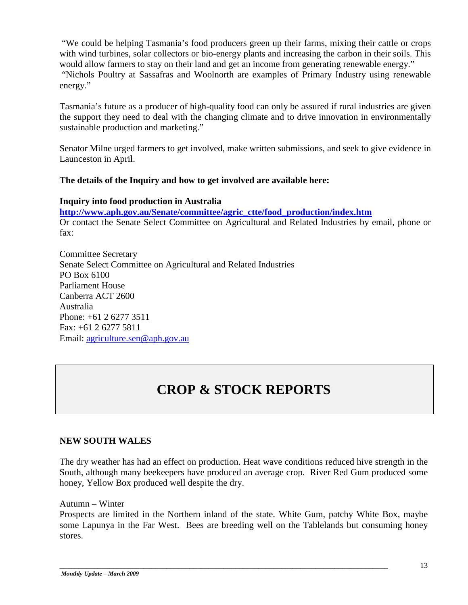"We could be helping Tasmania's food producers green up their farms, mixing their cattle or crops with wind turbines, solar collectors or bio-energy plants and increasing the carbon in their soils. This would allow farmers to stay on their land and get an income from generating renewable energy." "Nichols Poultry at Sassafras and Woolnorth are examples of Primary Industry using renewable energy."

Tasmania's future as a producer of high-quality food can only be assured if rural industries are given the support they need to deal with the changing climate and to drive innovation in environmentally sustainable production and marketing."

Senator Milne urged farmers to get involved, make written submissions, and seek to give evidence in Launceston in April.

## **The details of the Inquiry and how to get involved are available here:**

**Inquiry into food production in Australia [http://www.aph.gov.au/Senate/committee/agric\\_ctte/food\\_production/index.htm](http://www.aph.gov.au/Senate/committee/agric_ctte/food_production/index.htm)** Or contact the Senate Select Committee on Agricultural and Related Industries by email, phone or fax:

Committee Secretary Senate Select Committee on Agricultural and Related Industries PO Box 6100 Parliament House Canberra ACT 2600 Australia Phone: +61 2 6277 3511 Fax: +61 2 6277 5811 Email: [agriculture.sen@aph.gov.au](mailto:agriculture.sen@aph.gov.au)

# **CROP & STOCK REPORTS**

#### **NEW SOUTH WALES**

The dry weather has had an effect on production. Heat wave conditions reduced hive strength in the South, although many beekeepers have produced an average crop. River Red Gum produced some honey, Yellow Box produced well despite the dry.

Autumn – Winter

Prospects are limited in the Northern inland of the state. White Gum, patchy White Box, maybe some Lapunya in the Far West. Bees are breeding well on the Tablelands but consuming honey stores.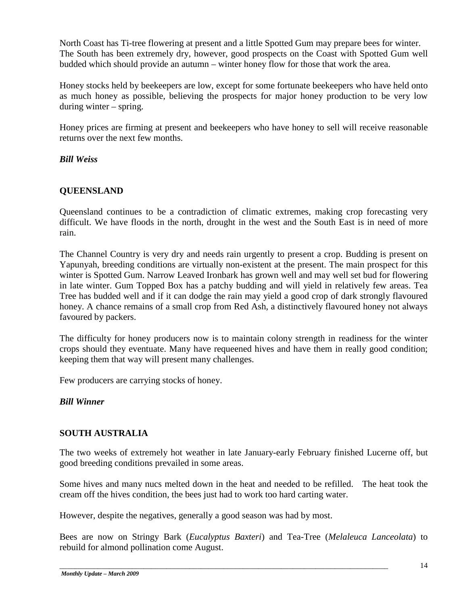North Coast has Ti-tree flowering at present and a little Spotted Gum may prepare bees for winter. The South has been extremely dry, however, good prospects on the Coast with Spotted Gum well budded which should provide an autumn – winter honey flow for those that work the area.

Honey stocks held by beekeepers are low, except for some fortunate beekeepers who have held onto as much honey as possible, believing the prospects for major honey production to be very low during winter – spring.

Honey prices are firming at present and beekeepers who have honey to sell will receive reasonable returns over the next few months.

## *Bill Weiss*

## **QUEENSLAND**

Queensland continues to be a contradiction of climatic extremes, making crop forecasting very difficult. We have floods in the north, drought in the west and the South East is in need of more rain.

The Channel Country is very dry and needs rain urgently to present a crop. Budding is present on Yapunyah, breeding conditions are virtually non-existent at the present. The main prospect for this winter is Spotted Gum. Narrow Leaved Ironbark has grown well and may well set bud for flowering in late winter. Gum Topped Box has a patchy budding and will yield in relatively few areas. Tea Tree has budded well and if it can dodge the rain may yield a good crop of dark strongly flavoured honey. A chance remains of a small crop from Red Ash, a distinctively flavoured honey not always favoured by packers.

The difficulty for honey producers now is to maintain colony strength in readiness for the winter crops should they eventuate. Many have requeened hives and have them in really good condition; keeping them that way will present many challenges.

Few producers are carrying stocks of honey.

#### *Bill Winner*

#### **SOUTH AUSTRALIA**

The two weeks of extremely hot weather in late January-early February finished Lucerne off, but good breeding conditions prevailed in some areas.

Some hives and many nucs melted down in the heat and needed to be refilled. The heat took the cream off the hives condition, the bees just had to work too hard carting water.

However, despite the negatives, generally a good season was had by most.

Bees are now on Stringy Bark (*Eucalyptus Baxteri*) and Tea-Tree (*Melaleuca Lanceolata*) to rebuild for almond pollination come August.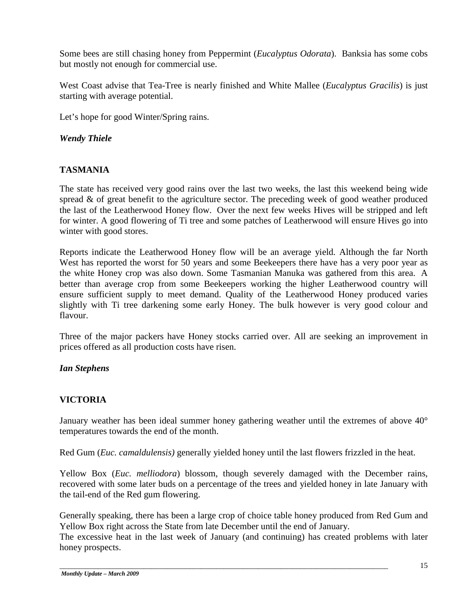Some bees are still chasing honey from Peppermint (*Eucalyptus Odorata*). Banksia has some cobs but mostly not enough for commercial use.

West Coast advise that Tea-Tree is nearly finished and White Mallee (*Eucalyptus Gracilis*) is just starting with average potential.

Let's hope for good Winter/Spring rains.

## *Wendy Thiele*

## **TASMANIA**

The state has received very good rains over the last two weeks, the last this weekend being wide spread & of great benefit to the agriculture sector. The preceding week of good weather produced the last of the Leatherwood Honey flow. Over the next few weeks Hives will be stripped and left for winter. A good flowering of Ti tree and some patches of Leatherwood will ensure Hives go into winter with good stores.

Reports indicate the Leatherwood Honey flow will be an average yield. Although the far North West has reported the worst for 50 years and some Beekeepers there have has a very poor year as the white Honey crop was also down. Some Tasmanian Manuka was gathered from this area. A better than average crop from some Beekeepers working the higher Leatherwood country will ensure sufficient supply to meet demand. Quality of the Leatherwood Honey produced varies slightly with Ti tree darkening some early Honey. The bulk however is very good colour and flavour.

Three of the major packers have Honey stocks carried over. All are seeking an improvement in prices offered as all production costs have risen.

## *Ian Stephens*

## **VICTORIA**

January weather has been ideal summer honey gathering weather until the extremes of above 40° temperatures towards the end of the month.

Red Gum (*Euc. camaldulensis)* generally yielded honey until the last flowers frizzled in the heat.

Yellow Box (*Euc. melliodora*) blossom, though severely damaged with the December rains, recovered with some later buds on a percentage of the trees and yielded honey in late January with the tail-end of the Red gum flowering.

Generally speaking, there has been a large crop of choice table honey produced from Red Gum and Yellow Box right across the State from late December until the end of January.

The excessive heat in the last week of January (and continuing) has created problems with later honey prospects.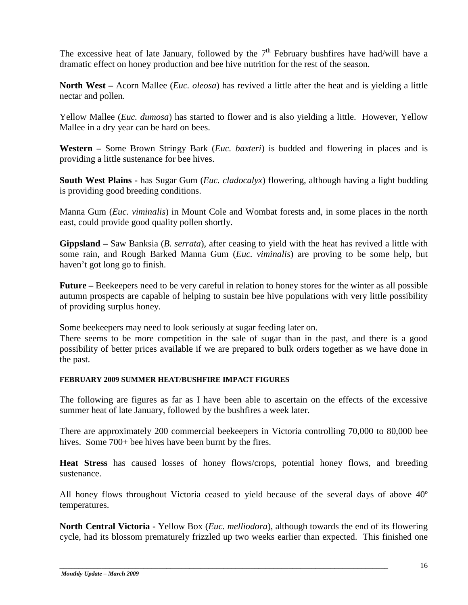The excessive heat of late January, followed by the  $7<sup>th</sup>$  February bushfires have had/will have a dramatic effect on honey production and bee hive nutrition for the rest of the season.

**North West –** Acorn Mallee (*Euc. oleosa*) has revived a little after the heat and is yielding a little nectar and pollen.

Yellow Mallee (*Euc. dumosa*) has started to flower and is also yielding a little. However, Yellow Mallee in a dry year can be hard on bees.

**Western –** Some Brown Stringy Bark (*Euc. baxteri*) is budded and flowering in places and is providing a little sustenance for bee hives.

**South West Plains -** has Sugar Gum (*Euc. cladocalyx*) flowering, although having a light budding is providing good breeding conditions.

Manna Gum (*Euc. viminalis*) in Mount Cole and Wombat forests and, in some places in the north east, could provide good quality pollen shortly.

**Gippsland –** Saw Banksia (*B. serrata*), after ceasing to yield with the heat has revived a little with some rain, and Rough Barked Manna Gum (*Euc. viminalis*) are proving to be some help, but haven't got long go to finish.

**Future –** Beekeepers need to be very careful in relation to honey stores for the winter as all possible autumn prospects are capable of helping to sustain bee hive populations with very little possibility of providing surplus honey.

Some beekeepers may need to look seriously at sugar feeding later on.

There seems to be more competition in the sale of sugar than in the past, and there is a good possibility of better prices available if we are prepared to bulk orders together as we have done in the past.

#### **FEBRUARY 2009 SUMMER HEAT/BUSHFIRE IMPACT FIGURES**

The following are figures as far as I have been able to ascertain on the effects of the excessive summer heat of late January, followed by the bushfires a week later.

There are approximately 200 commercial beekeepers in Victoria controlling 70,000 to 80,000 bee hives. Some 700+ bee hives have been burnt by the fires.

**Heat Stress** has caused losses of honey flows/crops, potential honey flows, and breeding sustenance.

All honey flows throughout Victoria ceased to yield because of the several days of above 40º temperatures.

**North Central Victoria -** Yellow Box (*Euc. melliodora*), although towards the end of its flowering cycle, had its blossom prematurely frizzled up two weeks earlier than expected. This finished one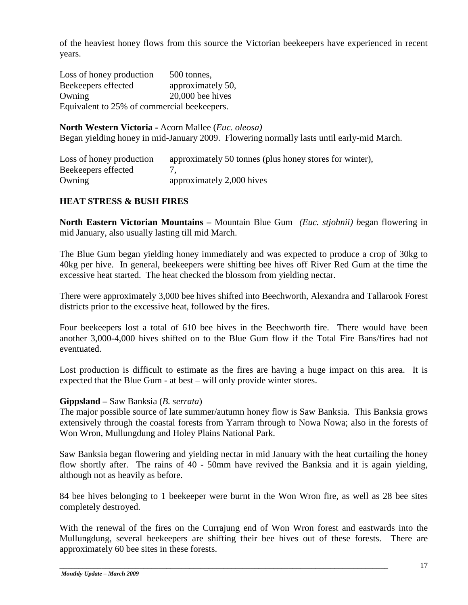of the heaviest honey flows from this source the Victorian beekeepers have experienced in recent years.

Loss of honey production 500 tonnes, Beekeepers effected approximately 50, Owning 20,000 bee hives Equivalent to 25% of commercial beekeepers.

**North Western Victoria -** Acorn Mallee (*Euc. oleosa)* Began yielding honey in mid-January 2009. Flowering normally lasts until early-mid March.

Loss of honey production approximately 50 tonnes (plus honey stores for winter), Beekeepers effected 7, Owning approximately 2,000 hives

## **HEAT STRESS & BUSH FIRES**

**North Eastern Victorian Mountains –** Mountain Blue Gum *(Euc. stjohnii) b*egan flowering in mid January, also usually lasting till mid March.

The Blue Gum began yielding honey immediately and was expected to produce a crop of 30kg to 40kg per hive. In general, beekeepers were shifting bee hives off River Red Gum at the time the excessive heat started. The heat checked the blossom from yielding nectar.

There were approximately 3,000 bee hives shifted into Beechworth, Alexandra and Tallarook Forest districts prior to the excessive heat, followed by the fires.

Four beekeepers lost a total of 610 bee hives in the Beechworth fire. There would have been another 3,000-4,000 hives shifted on to the Blue Gum flow if the Total Fire Bans/fires had not eventuated.

Lost production is difficult to estimate as the fires are having a huge impact on this area. It is expected that the Blue Gum - at best – will only provide winter stores.

#### **Gippsland –** Saw Banksia (*B. serrata*)

The major possible source of late summer/autumn honey flow is Saw Banksia. This Banksia grows extensively through the coastal forests from Yarram through to Nowa Nowa; also in the forests of Won Wron, Mullungdung and Holey Plains National Park.

Saw Banksia began flowering and yielding nectar in mid January with the heat curtailing the honey flow shortly after. The rains of 40 - 50mm have revived the Banksia and it is again yielding, although not as heavily as before.

84 bee hives belonging to 1 beekeeper were burnt in the Won Wron fire, as well as 28 bee sites completely destroyed.

With the renewal of the fires on the Currajung end of Won Wron forest and eastwards into the Mullungdung, several beekeepers are shifting their bee hives out of these forests. There are approximately 60 bee sites in these forests.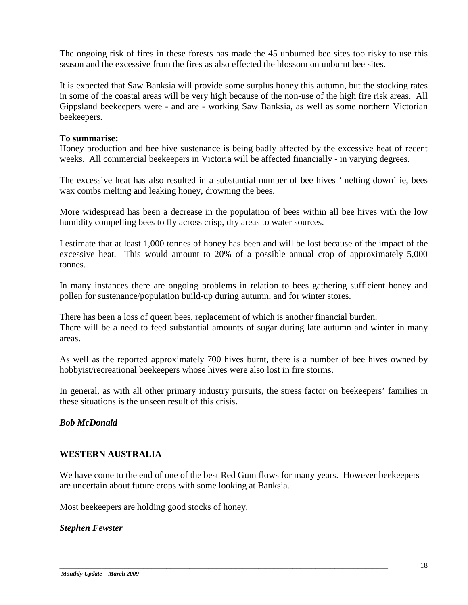The ongoing risk of fires in these forests has made the 45 unburned bee sites too risky to use this season and the excessive from the fires as also effected the blossom on unburnt bee sites.

It is expected that Saw Banksia will provide some surplus honey this autumn, but the stocking rates in some of the coastal areas will be very high because of the non-use of the high fire risk areas. All Gippsland beekeepers were - and are - working Saw Banksia, as well as some northern Victorian beekeepers.

#### **To summarise:**

Honey production and bee hive sustenance is being badly affected by the excessive heat of recent weeks. All commercial beekeepers in Victoria will be affected financially - in varying degrees.

The excessive heat has also resulted in a substantial number of bee hives 'melting down' ie, bees wax combs melting and leaking honey, drowning the bees.

More widespread has been a decrease in the population of bees within all bee hives with the low humidity compelling bees to fly across crisp, dry areas to water sources.

I estimate that at least 1,000 tonnes of honey has been and will be lost because of the impact of the excessive heat. This would amount to 20% of a possible annual crop of approximately 5,000 tonnes.

In many instances there are ongoing problems in relation to bees gathering sufficient honey and pollen for sustenance/population build-up during autumn, and for winter stores.

There has been a loss of queen bees, replacement of which is another financial burden. There will be a need to feed substantial amounts of sugar during late autumn and winter in many areas.

As well as the reported approximately 700 hives burnt, there is a number of bee hives owned by hobbyist/recreational beekeepers whose hives were also lost in fire storms.

In general, as with all other primary industry pursuits, the stress factor on beekeepers' families in these situations is the unseen result of this crisis.

#### *Bob McDonald*

## **WESTERN AUSTRALIA**

We have come to the end of one of the best Red Gum flows for many years. However beekeepers are uncertain about future crops with some looking at Banksia.

\_\_\_\_\_\_\_\_\_\_\_\_\_\_\_\_\_\_\_\_\_\_\_\_\_\_\_\_\_\_\_\_\_\_\_\_\_\_\_\_\_\_\_\_\_\_\_\_\_\_\_\_\_\_\_\_\_\_\_\_\_\_\_\_\_\_\_\_\_\_\_\_\_\_\_\_\_\_\_\_\_\_\_\_\_\_

Most beekeepers are holding good stocks of honey.

#### *Stephen Fewster*